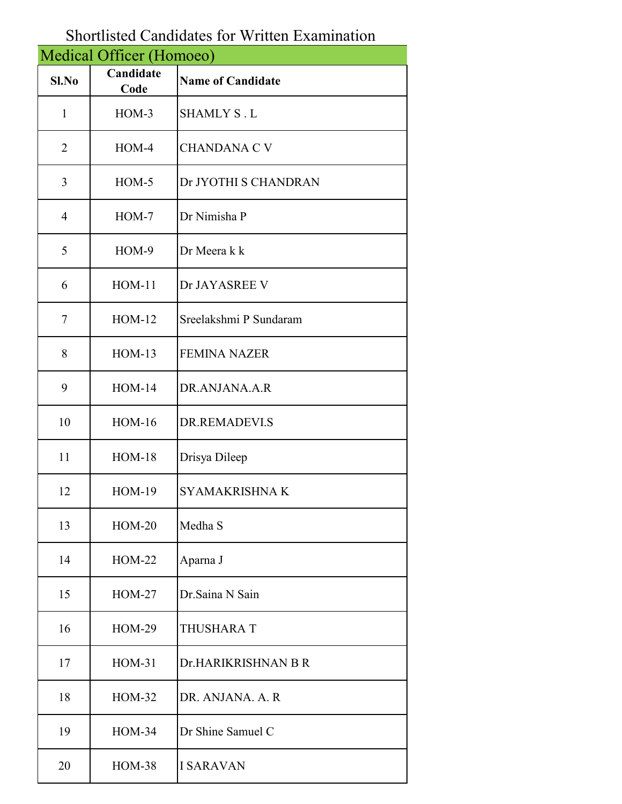## Shortlisted Candidates for Written Examination

| Medical Officer (Homoeo) |                   |                          |
|--------------------------|-------------------|--------------------------|
| Sl.No                    | Candidate<br>Code | <b>Name of Candidate</b> |
| $\mathbf{1}$             | $HOM-3$           | <b>SHAMLY S.L</b>        |
| $\overline{2}$           | $HOM-4$           | <b>CHANDANA C V</b>      |
| 3                        | $HOM-5$           | Dr JYOTHI S CHANDRAN     |
| $\overline{4}$           | $HOM-7$           | Dr Nimisha P             |
| 5                        | HOM-9             | Dr Meera k k             |
| 6                        | $HOM-11$          | Dr JAYASREE V            |
| 7                        | $HOM-12$          | Sreelakshmi P Sundaram   |
| 8                        | $HOM-13$          | <b>FEMINA NAZER</b>      |
| 9                        | $HOM-14$          | DR.ANJANA.A.R            |
| 10                       | <b>HOM-16</b>     | DR.REMADEVI.S            |
| 11                       | $HOM-18$          | Drisya Dileep            |
| 12                       | <b>HOM-19</b>     | <b>SYAMAKRISHNA K</b>    |
| 13                       | $HOM-20$          | Medha S                  |
| 14                       | $HOM-22$          | Aparna J                 |
| 15                       | $HOM-27$          | Dr.Saina N Sain          |
| 16                       | $HOM-29$          | THUSHARA T               |
| 17                       | <b>HOM-31</b>     | Dr.HARIKRISHNAN B R      |
| 18                       | $HOM-32$          | DR. ANJANA, A. R.        |
| 19                       | <b>HOM-34</b>     | Dr Shine Samuel C        |
| 20                       | $HOM-38$          | <b>I SARAVAN</b>         |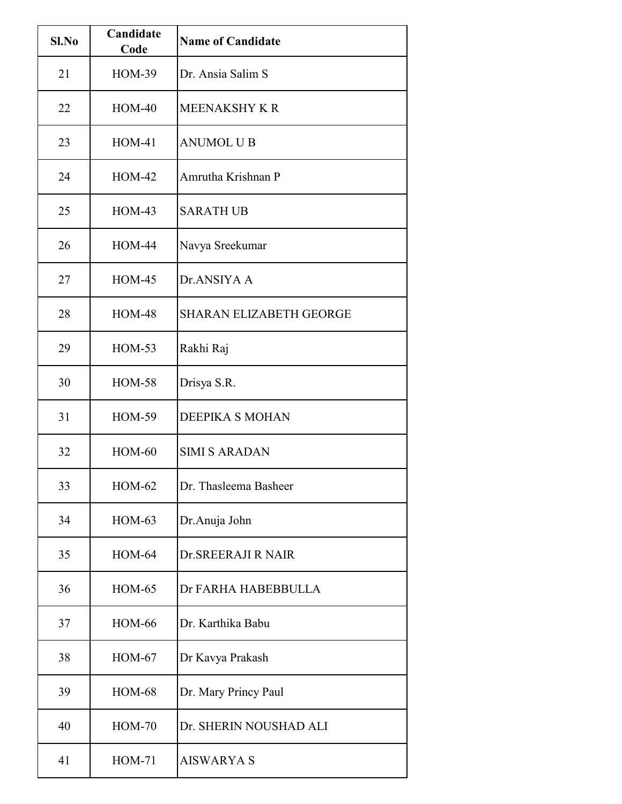| Sl.No | Candidate<br>Code | <b>Name of Candidate</b>       |
|-------|-------------------|--------------------------------|
| 21    | <b>HOM-39</b>     | Dr. Ansia Salim S              |
| 22    | $HOM-40$          | <b>MEENAKSHY K R</b>           |
| 23    | <b>HOM-41</b>     | <b>ANUMOL U B</b>              |
| 24    | $HOM-42$          | Amrutha Krishnan P             |
| 25    | $HOM-43$          | <b>SARATH UB</b>               |
| 26    | <b>HOM-44</b>     | Navya Sreekumar                |
| 27    | $HOM-45$          | Dr.ANSIYA A                    |
| 28    | <b>HOM-48</b>     | <b>SHARAN ELIZABETH GEORGE</b> |
| 29    | $HOM-53$          | Rakhi Raj                      |
| 30    | <b>HOM-58</b>     | Drisya S.R.                    |
| 31    | <b>HOM-59</b>     | <b>DEEPIKA S MOHAN</b>         |
| 32    | $HOM-60$          | <b>SIMI S ARADAN</b>           |
| 33    | $HOM-62$          | Dr. Thasleema Basheer          |
| 34    | $HOM-63$          | Dr. Anuja John                 |
| 35    | $HOM-64$          | Dr. SREERAJI R NAIR            |
| 36    | <b>HOM-65</b>     | Dr FARHA HABEBBULLA            |
| 37    | <b>HOM-66</b>     | Dr. Karthika Babu              |
| 38    | $HOM-67$          | Dr Kavya Prakash               |
| 39    | <b>HOM-68</b>     | Dr. Mary Princy Paul           |
| 40    | <b>HOM-70</b>     | Dr. SHERIN NOUSHAD ALI         |
| 41    | <b>HOM-71</b>     | <b>AISWARYA S</b>              |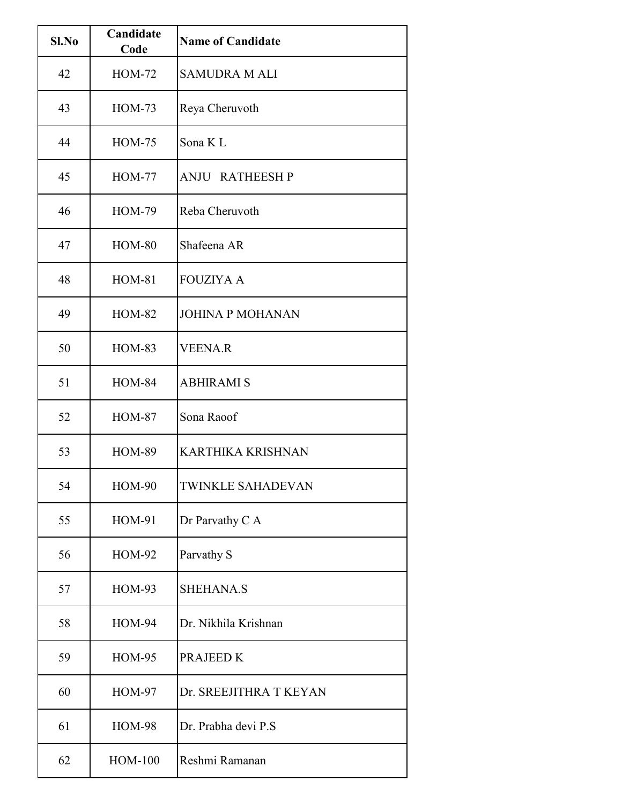| Sl.No | Candidate<br>Code | <b>Name of Candidate</b> |
|-------|-------------------|--------------------------|
| 42    | <b>HOM-72</b>     | <b>SAMUDRA M ALI</b>     |
| 43    | $HOM-73$          | Reya Cheruvoth           |
| 44    | <b>HOM-75</b>     | Sona K <sub>L</sub>      |
| 45    | <b>HOM-77</b>     | <b>ANJU RATHEESHP</b>    |
| 46    | <b>HOM-79</b>     | Reba Cheruvoth           |
| 47    | <b>HOM-80</b>     | Shafeena AR              |
| 48    | <b>HOM-81</b>     | <b>FOUZIYA A</b>         |
| 49    | <b>HOM-82</b>     | <b>JOHINA P MOHANAN</b>  |
| 50    | <b>HOM-83</b>     | <b>VEENA.R</b>           |
| 51    | <b>HOM-84</b>     | <b>ABHIRAMI S</b>        |
| 52    | <b>HOM-87</b>     | Sona Raoof               |
| 53    | <b>HOM-89</b>     | <b>KARTHIKA KRISHNAN</b> |
| 54    | <b>HOM-90</b>     | <b>TWINKLE SAHADEVAN</b> |
| 55    | HOM-91            | Dr Parvathy C A          |
| 56    | <b>HOM-92</b>     | Parvathy S               |
| 57    | <b>HOM-93</b>     | SHEHANA.S                |
| 58    | <b>HOM-94</b>     | Dr. Nikhila Krishnan     |
| 59    | <b>HOM-95</b>     | PRAJEED K                |
| 60    | <b>HOM-97</b>     | Dr. SREEJITHRA T KEYAN   |
| 61    | <b>HOM-98</b>     | Dr. Prabha devi P.S      |
| 62    | <b>HOM-100</b>    | Reshmi Ramanan           |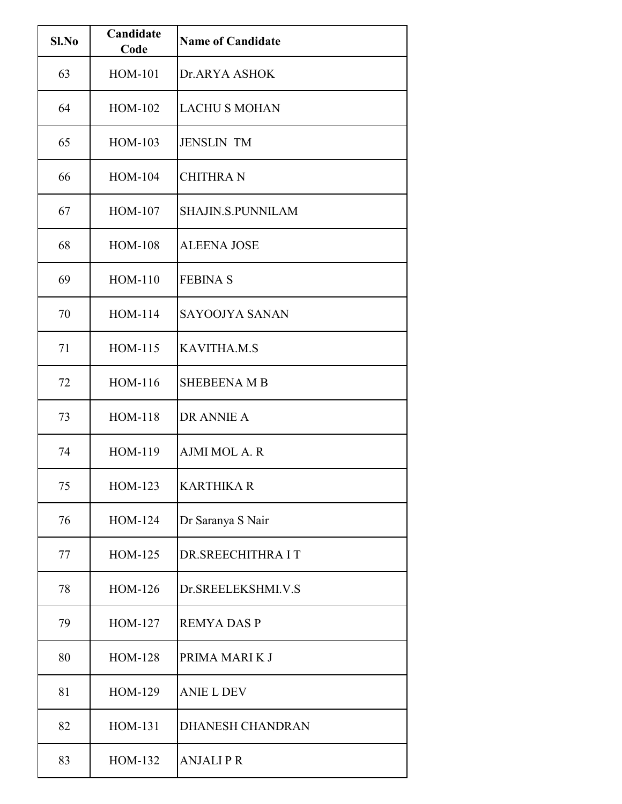| Sl.No | Candidate<br>Code | <b>Name of Candidate</b> |
|-------|-------------------|--------------------------|
| 63    | <b>HOM-101</b>    | Dr.ARYA ASHOK            |
| 64    | <b>HOM-102</b>    | <b>LACHU S MOHAN</b>     |
| 65    | HOM-103           | <b>JENSLIN TM</b>        |
| 66    | HOM-104           | <b>CHITHRAN</b>          |
| 67    | HOM-107           | <b>SHAJIN.S.PUNNILAM</b> |
| 68    | <b>HOM-108</b>    | <b>ALEENA JOSE</b>       |
| 69    | $HOM-110$         | <b>FEBINA S</b>          |
| 70    | HOM-114           | SAYOOJYA SANAN           |
| 71    | HOM-115           | <b>KAVITHA.M.S</b>       |
| 72    | $HOM-116$         | <b>SHEBEENA M B</b>      |
| 73    | <b>HOM-118</b>    | DR ANNIE A               |
| 74    | HOM-119           | <b>AJMI MOL A. R</b>     |
| 75    | HOM-123           | <b>KARTHIKA R</b>        |
| 76    | HOM-124           | Dr Saranya S Nair        |
| 77    | HOM-125           | DR.SREECHITHRA I T       |
| 78    | HOM-126           | Dr.SREELEKSHMI.V.S       |
| 79    | HOM-127           | <b>REMYA DAS P</b>       |
| 80    | <b>HOM-128</b>    | PRIMA MARIKJ             |
| 81    | HOM-129           | <b>ANIE L DEV</b>        |
| 82    | HOM-131           | <b>DHANESH CHANDRAN</b>  |
| 83    | HOM-132           | <b>ANJALIPR</b>          |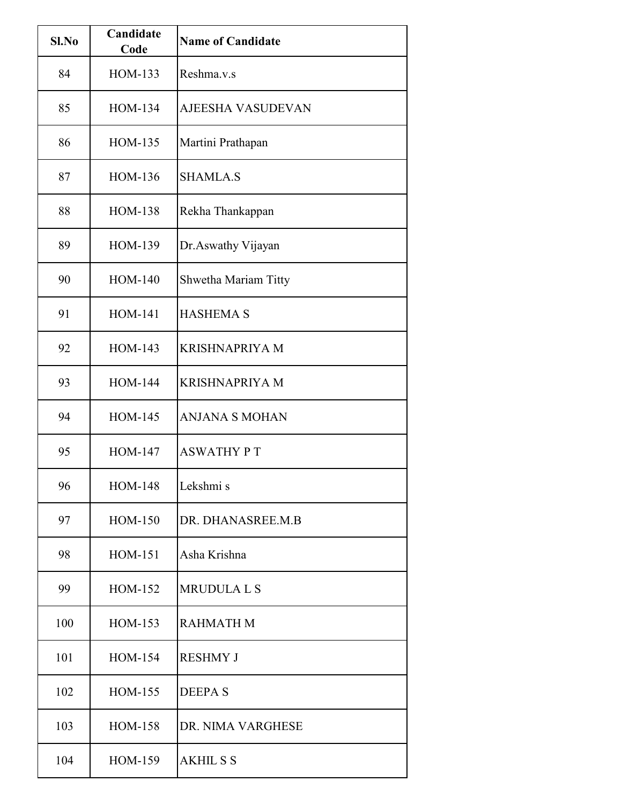| Sl.No | Candidate<br>Code | <b>Name of Candidate</b> |
|-------|-------------------|--------------------------|
| 84    | HOM-133           | Reshma.v.s               |
| 85    | HOM-134           | <b>AJEESHA VASUDEVAN</b> |
| 86    | <b>HOM-135</b>    | Martini Prathapan        |
| 87    | HOM-136           | <b>SHAMLA.S</b>          |
| 88    | <b>HOM-138</b>    | Rekha Thankappan         |
| 89    | HOM-139           | Dr. Aswathy Vijayan      |
| 90    | <b>HOM-140</b>    | Shwetha Mariam Titty     |
| 91    | <b>HOM-141</b>    | <b>HASHEMA S</b>         |
| 92    | HOM-143           | <b>KRISHNAPRIYA M</b>    |
| 93    | <b>HOM-144</b>    | <b>KRISHNAPRIYA M</b>    |
| 94    | HOM-145           | <b>ANJANA S MOHAN</b>    |
| 95    | <b>HOM-147</b>    | <b>ASWATHY PT</b>        |
| 96    | <b>HOM-148</b>    | Lekshmi s                |
| 97    | HOM-150           | DR. DHANASREE.M.B        |
| 98    | HOM-151           | Asha Krishna             |
| 99    | HOM-152           | <b>MRUDULA L S</b>       |
| 100   | HOM-153           | <b>RAHMATH M</b>         |
| 101   | HOM-154           | <b>RESHMY J</b>          |
| 102   | HOM-155           | <b>DEEPAS</b>            |
| 103   | HOM-158           | DR. NIMA VARGHESE        |
| 104   | HOM-159           | <b>AKHILSS</b>           |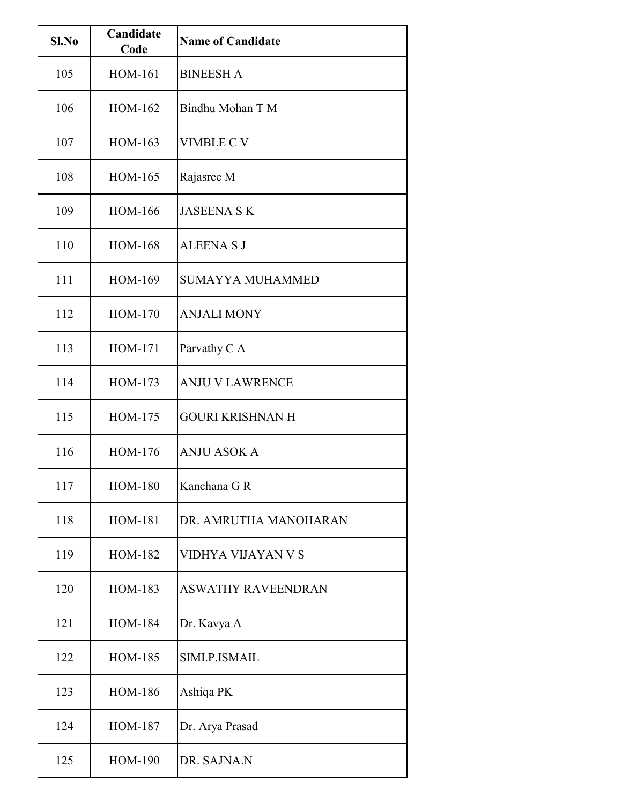| Sl.No | Candidate<br>Code | <b>Name of Candidate</b>  |
|-------|-------------------|---------------------------|
| 105   | <b>HOM-161</b>    | <b>BINEESH A</b>          |
| 106   | HOM-162           | Bindhu Mohan T M          |
| 107   | HOM-163           | <b>VIMBLE C V</b>         |
| 108   | HOM-165           | Rajasree M                |
| 109   | <b>HOM-166</b>    | <b>JASEENA SK</b>         |
| 110   | <b>HOM-168</b>    | <b>ALEENA S J</b>         |
| 111   | HOM-169           | <b>SUMAYYA MUHAMMED</b>   |
| 112   | <b>HOM-170</b>    | <b>ANJALI MONY</b>        |
| 113   | <b>HOM-171</b>    | Parvathy C A              |
| 114   | HOM-173           | <b>ANJU V LAWRENCE</b>    |
| 115   | HOM-175           | <b>GOURI KRISHNAN H</b>   |
| 116   | HOM-176           | <b>ANJU ASOK A</b>        |
| 117   | <b>HOM-180</b>    | Kanchana G R              |
| 118   | <b>HOM-181</b>    | DR. AMRUTHA MANOHARAN     |
| 119   | HOM-182           | VIDHYA VIJAYAN V S        |
| 120   | HOM-183           | <b>ASWATHY RAVEENDRAN</b> |
| 121   | <b>HOM-184</b>    | Dr. Kavya A               |
| 122   | HOM-185           | SIMI.P.ISMAIL             |
| 123   | <b>HOM-186</b>    | Ashiqa PK                 |
| 124   | <b>HOM-187</b>    | Dr. Arya Prasad           |
| 125   | <b>HOM-190</b>    | DR. SAJNA.N               |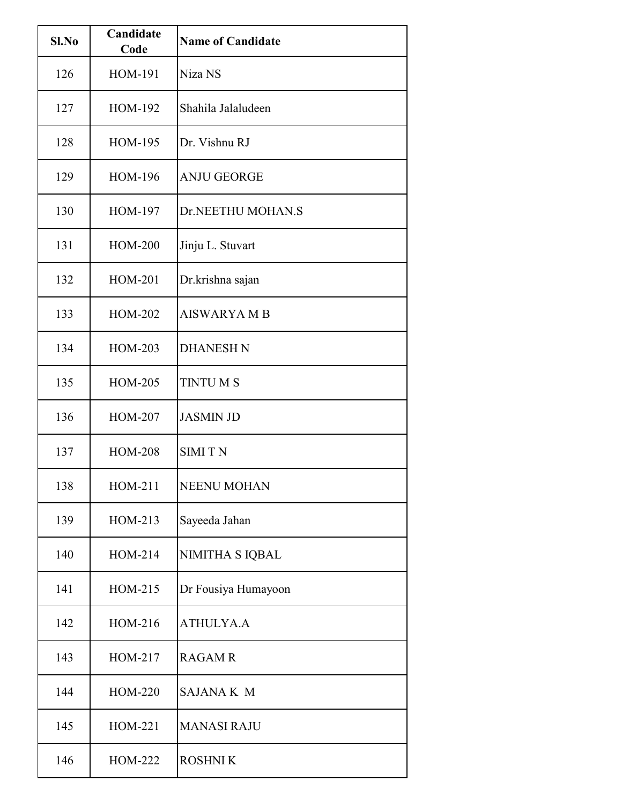| Sl.No | Candidate<br>Code | <b>Name of Candidate</b> |
|-------|-------------------|--------------------------|
| 126   | <b>HOM-191</b>    | Niza NS                  |
| 127   | HOM-192           | Shahila Jalaludeen       |
| 128   | HOM-195           | Dr. Vishnu RJ            |
| 129   | <b>HOM-196</b>    | <b>ANJU GEORGE</b>       |
| 130   | HOM-197           | Dr.NEETHU MOHAN.S        |
| 131   | <b>HOM-200</b>    | Jinju L. Stuvart         |
| 132   | <b>HOM-201</b>    | Dr.krishna sajan         |
| 133   | <b>HOM-202</b>    | <b>AISWARYA M B</b>      |
| 134   | HOM-203           | <b>DHANESH N</b>         |
| 135   | <b>HOM-205</b>    | <b>TINTUMS</b>           |
| 136   | <b>HOM-207</b>    | <b>JASMIN JD</b>         |
| 137   | <b>HOM-208</b>    | <b>SIMITN</b>            |
| 138   | HOM-211           | <b>NEENU MOHAN</b>       |
| 139   | HOM-213           | Sayeeda Jahan            |
| 140   | HOM-214           | NIMITHA S IQBAL          |
| 141   | HOM-215           | Dr Fousiya Humayoon      |
| 142   | HOM-216           | <b>ATHULYA.A</b>         |
| 143   | HOM-217           | <b>RAGAM R</b>           |
| 144   | <b>HOM-220</b>    | <b>SAJANA K M</b>        |
| 145   | HOM-221           | <b>MANASI RAJU</b>       |
| 146   | HOM-222           | <b>ROSHNIK</b>           |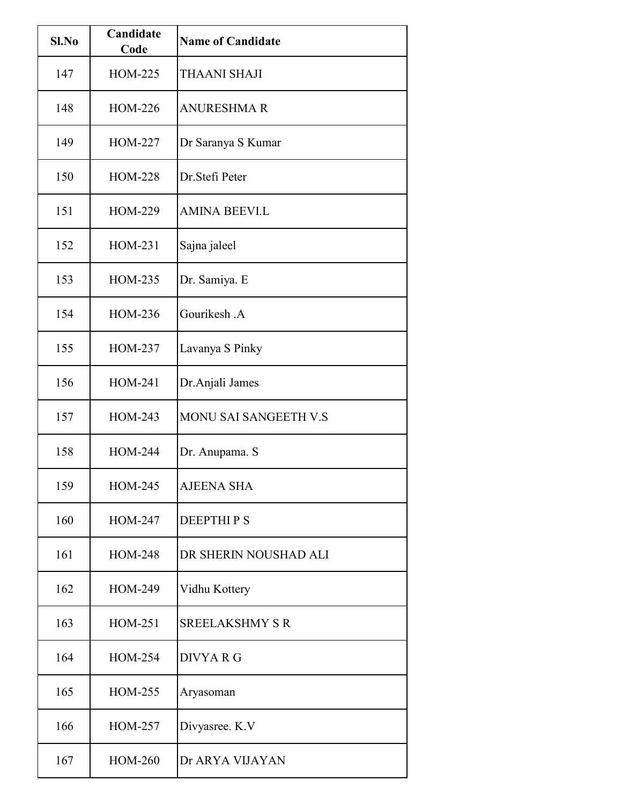| Sl.No | Candidate<br>Code | <b>Name of Candidate</b>     |
|-------|-------------------|------------------------------|
| 147   | HOM-225           | <b>THAANI SHAJI</b>          |
| 148   | <b>HOM-226</b>    | <b>ANURESHMAR</b>            |
| 149   | <b>HOM-227</b>    | Dr Saranya S Kumar           |
| 150   | <b>HOM-228</b>    | Dr.Stefi Peter               |
| 151   | HOM-229           | <b>AMINA BEEVI.L</b>         |
| 152   | HOM-231           | Sajna jaleel                 |
| 153   | HOM-235           | Dr. Samiya. E                |
| 154   | HOM-236           | Gourikesh A                  |
| 155   | HOM-237           | Lavanya S Pinky              |
| 156   | HOM-241           | Dr.Anjali James              |
| 157   | HOM-243           | <b>MONU SAI SANGEETH V.S</b> |
| 158   | <b>HOM-244</b>    | Dr. Anupama. S               |
| 159   | HOM-245           | <b>AJEENA SHA</b>            |
| 160   | HOM-247           | <b>DEEPTHIPS</b>             |
| 161   | HOM-248           | DR SHERIN NOUSHAD ALI        |
| 162   | HOM-249           | Vidhu Kottery                |
| 163   | HOM-251           | <b>SREELAKSHMY S R</b>       |
| 164   | HOM-254           | DIVYA R G                    |
| 165   | HOM-255           | Aryasoman                    |
| 166   | <b>HOM-257</b>    | Divyasree. K.V               |
| 167   | <b>HOM-260</b>    | Dr ARYA VIJAYAN              |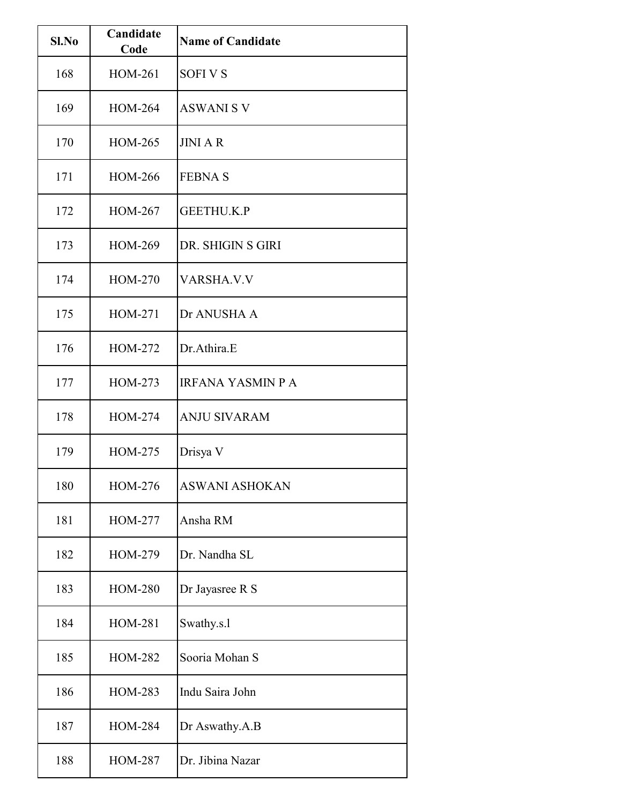| Sl.No | Candidate<br>Code | <b>Name of Candidate</b> |
|-------|-------------------|--------------------------|
| 168   | <b>HOM-261</b>    | <b>SOFIVS</b>            |
| 169   | <b>HOM-264</b>    | <b>ASWANI S V</b>        |
| 170   | HOM-265           | <b>JINIAR</b>            |
| 171   | <b>HOM-266</b>    | <b>FEBNAS</b>            |
| 172   | HOM-267           | <b>GEETHU.K.P</b>        |
| 173   | HOM-269           | DR. SHIGIN S GIRI        |
| 174   | <b>HOM-270</b>    | <b>VARSHA.V.V</b>        |
| 175   | HOM-271           | Dr ANUSHA A              |
| 176   | HOM-272           | Dr.Athira.E              |
| 177   | HOM-273           | <b>IRFANA YASMIN P A</b> |
| 178   | <b>HOM-274</b>    | <b>ANJU SIVARAM</b>      |
| 179   | HOM-275           | Drisya V                 |
| 180   | <b>HOM-276</b>    | <b>ASWANI ASHOKAN</b>    |
| 181   | HOM-277           | Ansha RM                 |
| 182   | HOM-279           | Dr. Nandha SL            |
| 183   | <b>HOM-280</b>    | Dr Jayasree R S          |
| 184   | <b>HOM-281</b>    | Swathy.s.l               |
| 185   | <b>HOM-282</b>    | Sooria Mohan S           |
| 186   | HOM-283           | Indu Saira John          |
| 187   | <b>HOM-284</b>    | Dr Aswathy.A.B           |
| 188   | <b>HOM-287</b>    | Dr. Jibina Nazar         |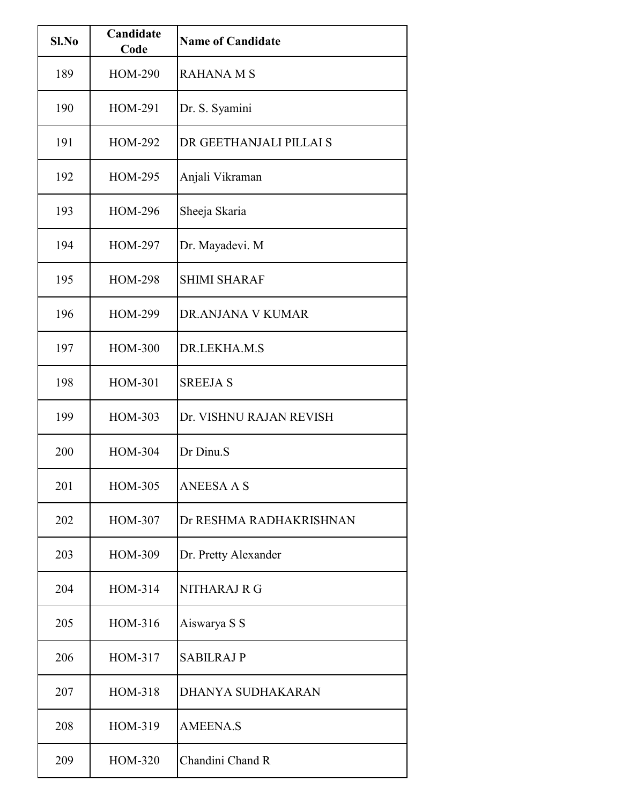| Sl.No | Candidate<br>Code | <b>Name of Candidate</b> |
|-------|-------------------|--------------------------|
| 189   | <b>HOM-290</b>    | <b>RAHANA M S</b>        |
| 190   | <b>HOM-291</b>    | Dr. S. Syamini           |
| 191   | <b>HOM-292</b>    | DR GEETHANJALI PILLAI S  |
| 192   | <b>HOM-295</b>    | Anjali Vikraman          |
| 193   | <b>HOM-296</b>    | Sheeja Skaria            |
| 194   | HOM-297           | Dr. Mayadevi. M          |
| 195   | <b>HOM-298</b>    | <b>SHIMI SHARAF</b>      |
| 196   | <b>HOM-299</b>    | DR.ANJANA V KUMAR        |
| 197   | <b>HOM-300</b>    | DR.LEKHA.M.S             |
| 198   | <b>HOM-301</b>    | <b>SREEJA S</b>          |
| 199   | HOM-303           | Dr. VISHNU RAJAN REVISH  |
| 200   | HOM-304           | Dr Dinu.S                |
| 201   | HOM-305           | <b>ANEESA A S</b>        |
| 202   | HOM-307           | Dr RESHMA RADHAKRISHNAN  |
| 203   | HOM-309           | Dr. Pretty Alexander     |
| 204   | HOM-314           | NITHARAJ R G             |
| 205   | HOM-316           | Aiswarya S S             |
| 206   | HOM-317           | <b>SABILRAJ P</b>        |
| 207   | HOM-318           | DHANYA SUDHAKARAN        |
| 208   | HOM-319           | <b>AMEENA.S</b>          |
| 209   | HOM-320           | Chandini Chand R         |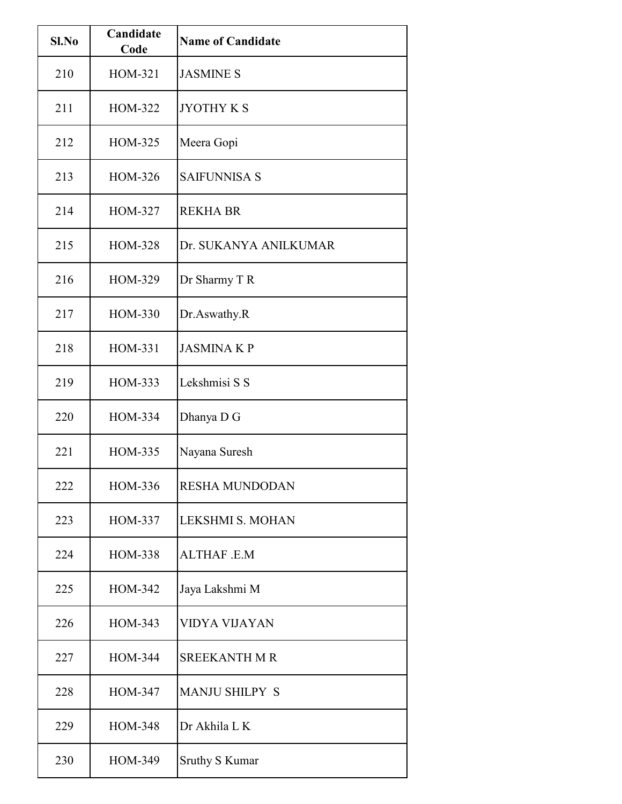| Sl.No | Candidate<br>Code | <b>Name of Candidate</b> |
|-------|-------------------|--------------------------|
| 210   | HOM-321           | <b>JASMINE S</b>         |
| 211   | HOM-322           | <b>JYOTHY K S</b>        |
| 212   | <b>HOM-325</b>    | Meera Gopi               |
| 213   | HOM-326           | <b>SAIFUNNISA S</b>      |
| 214   | HOM-327           | <b>REKHA BR</b>          |
| 215   | <b>HOM-328</b>    | Dr. SUKANYA ANILKUMAR    |
| 216   | HOM-329           | Dr Sharmy T R            |
| 217   | HOM-330           | Dr.Aswathy.R             |
| 218   | HOM-331           | <b>JASMINA K P</b>       |
| 219   | HOM-333           | Lekshmisi S S            |
| 220   | HOM-334           | Dhanya D G               |
| 221   | HOM-335           | Nayana Suresh            |
| 222   | HOM-336           | <b>RESHA MUNDODAN</b>    |
| 223   | HOM-337           | LEKSHMI S. MOHAN         |
| 224   | HOM-338           | <b>ALTHAF .E.M</b>       |
| 225   | HOM-342           | Jaya Lakshmi M           |
| 226   | HOM-343           | <b>VIDYA VIJAYAN</b>     |
| 227   | HOM-344           | <b>SREEKANTH M R</b>     |
| 228   | HOM-347           | <b>MANJU SHILPY S</b>    |
| 229   | HOM-348           | Dr Akhila L K            |
| 230   | HOM-349           | <b>Sruthy S Kumar</b>    |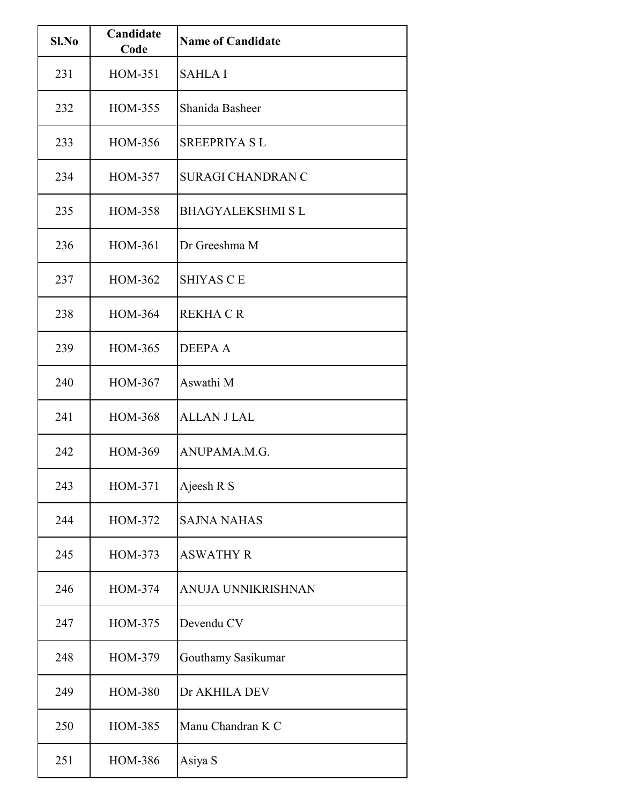| Sl.No | Candidate<br>Code | <b>Name of Candidate</b>  |
|-------|-------------------|---------------------------|
| 231   | HOM-351           | <b>SAHLA I</b>            |
| 232   | HOM-355           | Shanida Basheer           |
| 233   | HOM-356           | <b>SREEPRIYA SL</b>       |
| 234   | <b>HOM-357</b>    | <b>SURAGI CHANDRAN C</b>  |
| 235   | HOM-358           | <b>BHAGYALEKSHMI SL</b>   |
| 236   | <b>HOM-361</b>    | Dr Greeshma M             |
| 237   | HOM-362           | <b>SHIYAS CE</b>          |
| 238   | HOM-364           | <b>REKHACR</b>            |
| 239   | HOM-365           | <b>DEEPAA</b>             |
| 240   | HOM-367           | Aswathi M                 |
| 241   | HOM-368           | <b>ALLAN J LAL</b>        |
| 242   | HOM-369           | ANUPAMA.M.G.              |
| 243   | HOM-371           | Ajeesh R S                |
| 244   | HOM-372           | <b>SAJNA NAHAS</b>        |
| 245   | HOM-373           | <b>ASWATHY R</b>          |
| 246   | HOM-374           | <b>ANUJA UNNIKRISHNAN</b> |
| 247   | HOM-375           | Devendu CV                |
| 248   | HOM-379           | Gouthamy Sasikumar        |
| 249   | <b>HOM-380</b>    | Dr AKHILA DEV             |
| 250   | HOM-385           | Manu Chandran K C         |
| 251   | HOM-386           | Asiya S                   |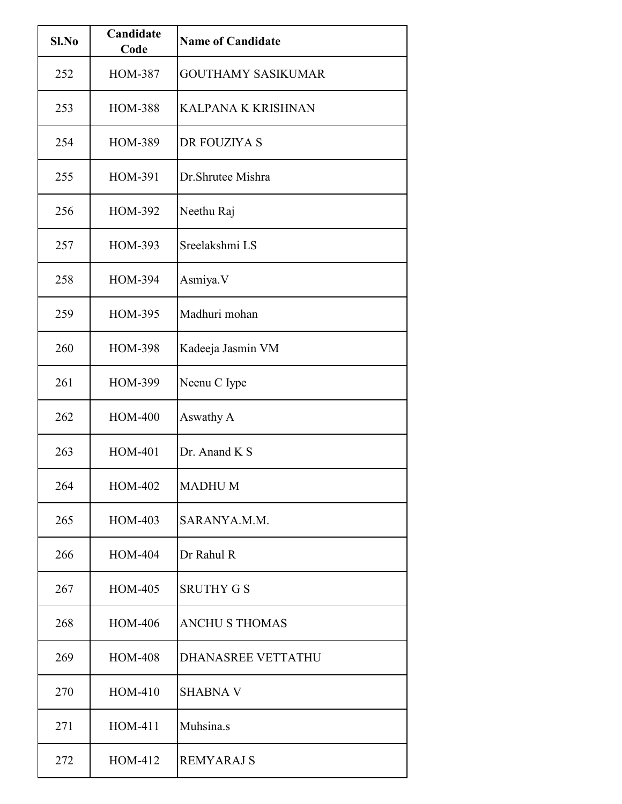| $Sl$ . No | Candidate<br>Code | <b>Name of Candidate</b>  |
|-----------|-------------------|---------------------------|
| 252       | <b>HOM-387</b>    | <b>GOUTHAMY SASIKUMAR</b> |
| 253       | <b>HOM-388</b>    | <b>KALPANA K KRISHNAN</b> |
| 254       | <b>HOM-389</b>    | DR FOUZIYA S              |
| 255       | HOM-391           | Dr. Shrutee Mishra        |
| 256       | HOM-392           | Neethu Raj                |
| 257       | HOM-393           | Sreelakshmi LS            |
| 258       | <b>HOM-394</b>    | Asmiya.V                  |
| 259       | <b>HOM-395</b>    | Madhuri mohan             |
| 260       | <b>HOM-398</b>    | Kadeeja Jasmin VM         |
| 261       | HOM-399           | Neenu C Iype              |
| 262       | <b>HOM-400</b>    | Aswathy A                 |
| 263       | <b>HOM-401</b>    | Dr. Anand K S             |
| 264       | HOM-402           | <b>MADHUM</b>             |
| 265       | HOM-403           | SARANYA.M.M.              |
| 266       | HOM-404           | Dr Rahul R                |
| 267       | HOM-405           | <b>SRUTHY G S</b>         |
| 268       | <b>HOM-406</b>    | <b>ANCHU S THOMAS</b>     |
| 269       | <b>HOM-408</b>    | <b>DHANASREE VETTATHU</b> |
| 270       | HOM-410           | <b>SHABNA V</b>           |
| 271       | HOM-411           | Muhsina.s                 |
| 272       | HOM-412           | <b>REMYARAJ S</b>         |